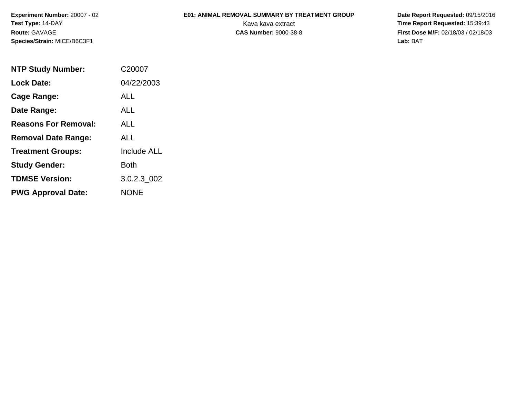**Experiment Number:** 20007 - 02**Test Type:** 14-DAY**Route:** GAVAGE**Species/Strain:** MICE/B6C3F1

## **E01: ANIMAL REMOVAL SUMMARY BY TREATMENT GROUP**

 **Date Report Requested:** 09/15/2016 Kava kava extract **Time Report Requested:** 15:39:43<br>**CAS Number:** 9000-38-8 **Time Report Requested:** 15:39:43 **First Dose M/F:** 02/18/03 / 02/18/03<br>Lab: BAT **Lab:** BAT

| <b>NTP Study Number:</b>    | C20007             |  |  |  |  |  |
|-----------------------------|--------------------|--|--|--|--|--|
| <b>Lock Date:</b>           | 04/22/2003         |  |  |  |  |  |
| Cage Range:                 | ALL                |  |  |  |  |  |
| Date Range:                 | AI I               |  |  |  |  |  |
| <b>Reasons For Removal:</b> | ALL.               |  |  |  |  |  |
| <b>Removal Date Range:</b>  | ALL                |  |  |  |  |  |
| <b>Treatment Groups:</b>    | <b>Include ALL</b> |  |  |  |  |  |
| <b>Study Gender:</b>        | Both               |  |  |  |  |  |
| <b>TDMSE Version:</b>       | 3.0.2.3 002        |  |  |  |  |  |
| <b>PWG Approval Date:</b>   | <b>NONE</b>        |  |  |  |  |  |